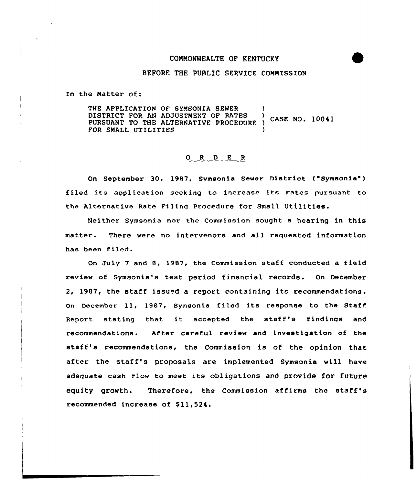## CQNNONWEALTH OF KENTUCKY



## BEFORE THE PUBLIC SERVICE CONNISSION

In the Natter of:

THE APPLICATION OF SYMSONIA SEWER DISTRICT FOR AN ADJUSTMENT OF RATES CASE NO. 10041 PURSUANT TO THE ALTERNATIVE PROCEDURF. ) FOR SMALL UTILITIES

#### 0 R <sup>D</sup> E <sup>R</sup>

On September 30, 1987, Symsonia Sewer District ("Symsonia" ) filed its application seeking to increase its rates pursuant to the Alternative Rate Filing Procedure for Small Utilities-

Neither Symsonia nor the Commission sought a hearing in this matter. There were no intervenors and all requested information has been filed.

On July <sup>7</sup> and 8, 1987, the Commission staff conducted a field review of Symsonia's test period financial records. On December 2, 1987, the staff issued <sup>a</sup> report containing its recommendations. On December ll, 1987, Symsonia filed its response to the Staff Report stating that it accepted the staff's findings and recommendations. After careful review and investigation of the staff's recommendations, the Commission is of the opinion that after the staff's proposals are implemented Symsonia will have adequate cash flow to meet its obligations and provide for future equity growth. Therefore, the Commission affirms the staff's recommended increase of \$11,524.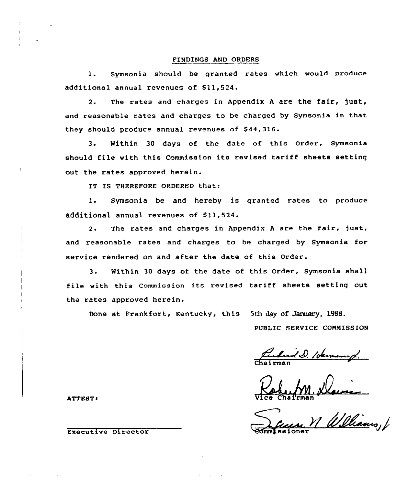### FINDINGS AND ORDERS

l. Symsonia should be granted rates which would produce additional annual revenues of Sll,524.

2. The rates and charges in Appendix A are the fair, just, and reasonable rates and charges to be charged by Symsonia in that they should produce annual revenues of 844,316.

3. Within <sup>30</sup> days of the date of this Order, Symsonia should file with this Commission its revised tariff sheets setting out the rates approved herein.

IT IS THEREFORE ORDERED that:

1. Symsonia be and hereby is granted rates to produce additional annual revenues of \$11,524.

2. The rates and charges in Appendix A are the fair, just, and reasonable rates and charges to be charged by Symsonia for service rendered on and after the date of this Order.

3. Within <sup>30</sup> days of the date of this Order, Symsonia shall file with this Commission its revised tariff sheets setting out the rates approved herein.

Done at Frankfort, Kentucky, this 5th day of January, 1988.

PUBLIC SERVICE CONNISSION

Chairma

ATTESTl Vice Chai'rman

Williams, 1

Executive Director